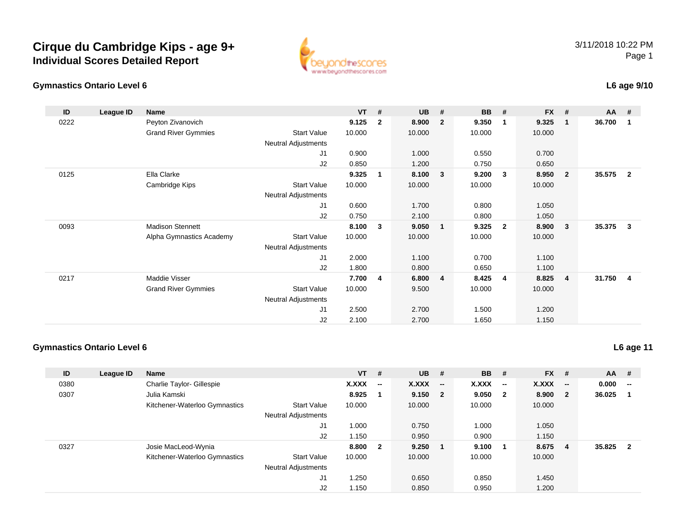



### **L6 age 9/10**

| ID   | League ID | Name                       |                            | $VT$ # |                | <b>UB</b> | #              | <b>BB</b> | #                       | <b>FX</b> | #                       | <b>AA</b> | #              |
|------|-----------|----------------------------|----------------------------|--------|----------------|-----------|----------------|-----------|-------------------------|-----------|-------------------------|-----------|----------------|
| 0222 |           | Peyton Zivanovich          |                            | 9.125  | $\overline{2}$ | 8.900     | $\overline{2}$ | 9.350     | $\mathbf{1}$            | 9.325     | $\mathbf{1}$            | 36.700    | -1             |
|      |           | <b>Grand River Gymmies</b> | <b>Start Value</b>         | 10.000 |                | 10.000    |                | 10.000    |                         | 10.000    |                         |           |                |
|      |           |                            | <b>Neutral Adjustments</b> |        |                |           |                |           |                         |           |                         |           |                |
|      |           |                            | J1                         | 0.900  |                | 1.000     |                | 0.550     |                         | 0.700     |                         |           |                |
|      |           |                            | J2                         | 0.850  |                | 1.200     |                | 0.750     |                         | 0.650     |                         |           |                |
| 0125 |           | Ella Clarke                |                            | 9.325  | 1              | 8.100     | 3              | 9.200     | $\overline{\mathbf{3}}$ | 8.950     | $\overline{\mathbf{2}}$ | 35.575    | $\overline{2}$ |
|      |           | Cambridge Kips             | <b>Start Value</b>         | 10.000 |                | 10.000    |                | 10.000    |                         | 10.000    |                         |           |                |
|      |           |                            | Neutral Adjustments        |        |                |           |                |           |                         |           |                         |           |                |
|      |           |                            | J1                         | 0.600  |                | 1.700     |                | 0.800     |                         | 1.050     |                         |           |                |
|      |           |                            | J2                         | 0.750  |                | 2.100     |                | 0.800     |                         | 1.050     |                         |           |                |
| 0093 |           | <b>Madison Stennett</b>    |                            | 8.100  | 3              | 9.050     | $\mathbf{1}$   | 9.325     | $\overline{\mathbf{2}}$ | 8.900     | $\mathbf{3}$            | 35.375    | $\mathbf{3}$   |
|      |           | Alpha Gymnastics Academy   | <b>Start Value</b>         | 10.000 |                | 10.000    |                | 10.000    |                         | 10.000    |                         |           |                |
|      |           |                            | <b>Neutral Adjustments</b> |        |                |           |                |           |                         |           |                         |           |                |
|      |           |                            | J1                         | 2.000  |                | 1.100     |                | 0.700     |                         | 1.100     |                         |           |                |
|      |           |                            | J2                         | 1.800  |                | 0.800     |                | 0.650     |                         | 1.100     |                         |           |                |
| 0217 |           | Maddie Visser              |                            | 7.700  | 4              | 6.800     | $\overline{4}$ | 8.425     | $\overline{4}$          | 8.825     | $\overline{\mathbf{4}}$ | 31.750    | 4              |
|      |           | <b>Grand River Gymmies</b> | <b>Start Value</b>         | 10.000 |                | 9.500     |                | 10.000    |                         | 10.000    |                         |           |                |
|      |           |                            | <b>Neutral Adjustments</b> |        |                |           |                |           |                         |           |                         |           |                |
|      |           |                            | J1                         | 2.500  |                | 2.700     |                | 1.500     |                         | 1.200     |                         |           |                |
|      |           |                            | J2                         | 2.100  |                | 2.700     |                | 1.650     |                         | 1.150     |                         |           |                |

#### **Gymnastics Ontario Level 6**

| ID   | League ID | <b>Name</b>                   |                            | $VT$ # |                          | <b>UB</b> | #                        | <b>BB</b> | #                        | $FX$ # |                         | <b>AA</b> | #                       |
|------|-----------|-------------------------------|----------------------------|--------|--------------------------|-----------|--------------------------|-----------|--------------------------|--------|-------------------------|-----------|-------------------------|
| 0380 |           | Charlie Taylor- Gillespie     |                            | X.XXX  | $\overline{\phantom{a}}$ | X.XXX     | $\overline{\phantom{a}}$ | X.XXX     | $\overline{\phantom{a}}$ | X.XXX  | $-$                     | 0.000     | --                      |
| 0307 |           | Julia Kamski                  |                            | 8.925  |                          | 9.150 2   |                          | 9.050     | $\overline{\mathbf{2}}$  | 8.900  | $\overline{\mathbf{2}}$ | 36.025    |                         |
|      |           | Kitchener-Waterloo Gymnastics | <b>Start Value</b>         | 10.000 |                          | 10.000    |                          | 10.000    |                          | 10.000 |                         |           |                         |
|      |           |                               | <b>Neutral Adjustments</b> |        |                          |           |                          |           |                          |        |                         |           |                         |
|      |           |                               | J1                         | 1.000  |                          | 0.750     |                          | 1.000     |                          | 1.050  |                         |           |                         |
|      |           |                               | J2                         | 1.150  |                          | 0.950     |                          | 0.900     |                          | 1.150  |                         |           |                         |
| 0327 |           | Josie MacLeod-Wynia           |                            | 8.800  | $\mathbf{2}$             | 9.250     |                          | 9.100     | - 1                      | 8.675  | -4                      | 35.825    | $\overline{\mathbf{2}}$ |
|      |           | Kitchener-Waterloo Gymnastics | <b>Start Value</b>         | 10.000 |                          | 10.000    |                          | 10.000    |                          | 10.000 |                         |           |                         |
|      |           |                               | <b>Neutral Adjustments</b> |        |                          |           |                          |           |                          |        |                         |           |                         |
|      |           |                               | J1                         | 1.250  |                          | 0.650     |                          | 0.850     |                          | 1.450  |                         |           |                         |
|      |           |                               | J2                         | 1.150  |                          | 0.850     |                          | 0.950     |                          | 1.200  |                         |           |                         |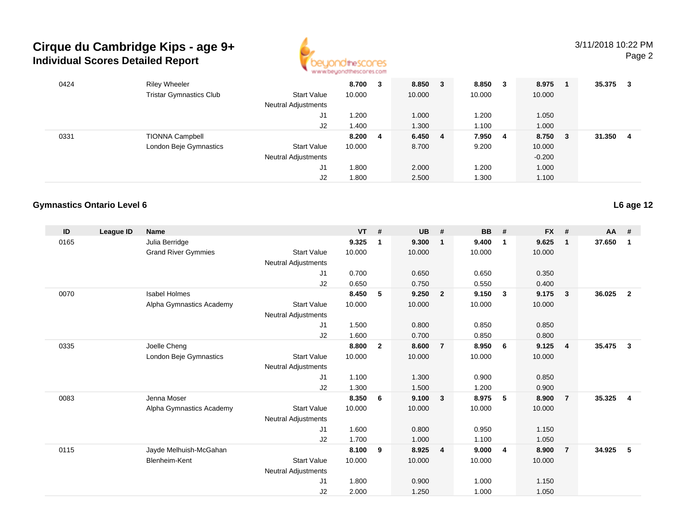

| 0424 | <b>Riley Wheeler</b>           |                            | 8.700   | 3 | 8.850   | 3 | 8.850  | - 3 | 8.975    |     | 35.375 | 3  |
|------|--------------------------------|----------------------------|---------|---|---------|---|--------|-----|----------|-----|--------|----|
|      | <b>Tristar Gymnastics Club</b> | <b>Start Value</b>         | 10.000  |   | 10.000  |   | 10.000 |     | 10.000   |     |        |    |
|      |                                | <b>Neutral Adjustments</b> |         |   |         |   |        |     |          |     |        |    |
|      |                                | J1                         | 1.200   |   | 1.000   |   | 1.200  |     | 1.050    |     |        |    |
|      |                                | J2                         | 1.400   |   | 1.300   |   | 1.100  |     | 1.000    |     |        |    |
| 0331 | <b>TIONNA Campbell</b>         |                            | 8.200 4 |   | 6.450 4 |   | 7.950  | - 4 | 8.750    | - 3 | 31.350 | -4 |
|      | London Beje Gymnastics         | Start Value                | 10.000  |   | 8.700   |   | 9.200  |     | 10.000   |     |        |    |
|      |                                | <b>Neutral Adjustments</b> |         |   |         |   |        |     | $-0.200$ |     |        |    |
|      |                                | J1                         | 1.800   |   | 2.000   |   | 1.200  |     | 1.000    |     |        |    |
|      |                                | J2                         | 1.800   |   | 2.500   |   | 1.300  |     | 1.100    |     |        |    |

### **Gymnastics Ontario Level 6**

| ID   | League ID | <b>Name</b>                |                            | <b>VT</b> | #              | <b>UB</b> | #                       | <b>BB</b> | #              | <b>FX</b> | #              | <b>AA</b> | #              |
|------|-----------|----------------------------|----------------------------|-----------|----------------|-----------|-------------------------|-----------|----------------|-----------|----------------|-----------|----------------|
| 0165 |           | Julia Berridge             |                            | 9.325     | 1              | 9.300     | $\overline{1}$          | 9.400     | $\mathbf{1}$   | 9.625     | $\mathbf{1}$   | 37.650    | $\mathbf{1}$   |
|      |           | <b>Grand River Gymmies</b> | <b>Start Value</b>         | 10.000    |                | 10.000    |                         | 10.000    |                | 10.000    |                |           |                |
|      |           |                            | Neutral Adjustments        |           |                |           |                         |           |                |           |                |           |                |
|      |           |                            | J1                         | 0.700     |                | 0.650     |                         | 0.650     |                | 0.350     |                |           |                |
|      |           |                            | J2                         | 0.650     |                | 0.750     |                         | 0.550     |                | 0.400     |                |           |                |
| 0070 |           | <b>Isabel Holmes</b>       |                            | 8.450     | 5              | 9.250     | $\overline{\mathbf{2}}$ | 9.150     | $\mathbf{3}$   | 9.175     | 3              | 36.025    | $\overline{2}$ |
|      |           | Alpha Gymnastics Academy   | <b>Start Value</b>         | 10.000    |                | 10.000    |                         | 10.000    |                | 10.000    |                |           |                |
|      |           |                            | <b>Neutral Adjustments</b> |           |                |           |                         |           |                |           |                |           |                |
|      |           |                            | J1                         | 1.500     |                | 0.800     |                         | 0.850     |                | 0.850     |                |           |                |
|      |           |                            | J2                         | 1.600     |                | 0.700     |                         | 0.850     |                | 0.800     |                |           |                |
| 0335 |           | Joelle Cheng               |                            | 8.800     | $\overline{2}$ | 8.600     | $\overline{7}$          | 8.950     | - 6            | 9.125     | $\overline{4}$ | 35.475    | 3              |
|      |           | London Beje Gymnastics     | <b>Start Value</b>         | 10.000    |                | 10.000    |                         | 10.000    |                | 10.000    |                |           |                |
|      |           |                            | <b>Neutral Adjustments</b> |           |                |           |                         |           |                |           |                |           |                |
|      |           |                            | J1                         | 1.100     |                | 1.300     |                         | 0.900     |                | 0.850     |                |           |                |
|      |           |                            | J2                         | 1.300     |                | 1.500     |                         | 1.200     |                | 0.900     |                |           |                |
| 0083 |           | Jenna Moser                |                            | 8.350     | 6              | 9.100     | $\overline{\mathbf{3}}$ | 8.975     | 5              | 8.900     | $\overline{7}$ | 35.325    | $\overline{4}$ |
|      |           | Alpha Gymnastics Academy   | <b>Start Value</b>         | 10.000    |                | 10.000    |                         | 10.000    |                | 10.000    |                |           |                |
|      |           |                            | <b>Neutral Adjustments</b> |           |                |           |                         |           |                |           |                |           |                |
|      |           |                            | J1                         | 1.600     |                | 0.800     |                         | 0.950     |                | 1.150     |                |           |                |
|      |           |                            | J2                         | 1.700     |                | 1.000     |                         | 1.100     |                | 1.050     |                |           |                |
| 0115 |           | Jayde Melhuish-McGahan     |                            | 8.100     | 9              | 8.925     | $\overline{4}$          | 9.000     | $\overline{4}$ | 8.900     | $\overline{7}$ | 34.925    | 5              |
|      |           | <b>Blenheim-Kent</b>       | <b>Start Value</b>         | 10.000    |                | 10.000    |                         | 10.000    |                | 10.000    |                |           |                |
|      |           |                            | <b>Neutral Adjustments</b> |           |                |           |                         |           |                |           |                |           |                |
|      |           |                            | J1                         | 1.800     |                | 0.900     |                         | 1.000     |                | 1.150     |                |           |                |
|      |           |                            | J2                         | 2.000     |                | 1.250     |                         | 1.000     |                | 1.050     |                |           |                |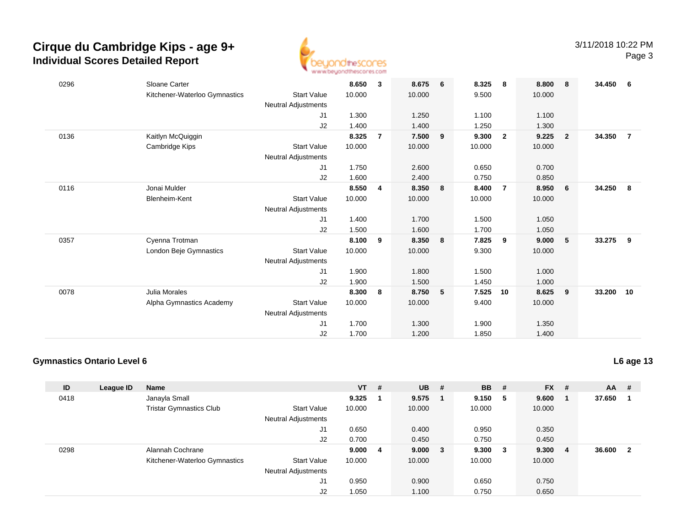

| 0296 | Sloane Carter                 |                            | 8.650  | 3              | 8.675  | 6 | 8.325  | 8              | 8.800  | - 8                     | 34.450 | - 6            |
|------|-------------------------------|----------------------------|--------|----------------|--------|---|--------|----------------|--------|-------------------------|--------|----------------|
|      | Kitchener-Waterloo Gymnastics | <b>Start Value</b>         | 10.000 |                | 10.000 |   | 9.500  |                | 10.000 |                         |        |                |
|      |                               | Neutral Adjustments        |        |                |        |   |        |                |        |                         |        |                |
|      |                               | J <sub>1</sub>             | 1.300  |                | 1.250  |   | 1.100  |                | 1.100  |                         |        |                |
|      |                               | J2                         | 1.400  |                | 1.400  |   | 1.250  |                | 1.300  |                         |        |                |
| 0136 | Kaitlyn McQuiggin             |                            | 8.325  | $\overline{7}$ | 7.500  | 9 | 9.300  | $\overline{2}$ | 9.225  | $\overline{\mathbf{2}}$ | 34.350 | $\overline{7}$ |
|      | Cambridge Kips                | <b>Start Value</b>         | 10.000 |                | 10.000 |   | 10.000 |                | 10.000 |                         |        |                |
|      |                               | Neutral Adjustments        |        |                |        |   |        |                |        |                         |        |                |
|      |                               | J1                         | 1.750  |                | 2.600  |   | 0.650  |                | 0.700  |                         |        |                |
|      |                               | J2                         | 1.600  |                | 2.400  |   | 0.750  |                | 0.850  |                         |        |                |
| 0116 | Jonai Mulder                  |                            | 8.550  | $\overline{4}$ | 8.350  | 8 | 8.400  | $\overline{7}$ | 8.950  | 6                       | 34.250 | 8              |
|      | Blenheim-Kent                 | <b>Start Value</b>         | 10.000 |                | 10.000 |   | 10.000 |                | 10.000 |                         |        |                |
|      |                               | Neutral Adjustments        |        |                |        |   |        |                |        |                         |        |                |
|      |                               | J <sub>1</sub>             | 1.400  |                | 1.700  |   | 1.500  |                | 1.050  |                         |        |                |
|      |                               | J2                         | 1.500  |                | 1.600  |   | 1.700  |                | 1.050  |                         |        |                |
| 0357 | Cyenna Trotman                |                            | 8.100  | 9              | 8.350  | 8 | 7.825  | 9              | 9.000  | 5                       | 33.275 | 9              |
|      | London Beje Gymnastics        | <b>Start Value</b>         | 10.000 |                | 10.000 |   | 9.300  |                | 10.000 |                         |        |                |
|      |                               | <b>Neutral Adjustments</b> |        |                |        |   |        |                |        |                         |        |                |
|      |                               | J1                         | 1.900  |                | 1.800  |   | 1.500  |                | 1.000  |                         |        |                |
|      |                               | J2                         | 1.900  |                | 1.500  |   | 1.450  |                | 1.000  |                         |        |                |
| 0078 | Julia Morales                 |                            | 8.300  | 8              | 8.750  | 5 | 7.525  | 10             | 8.625  | - 9                     | 33.200 | 10             |
|      | Alpha Gymnastics Academy      | <b>Start Value</b>         | 10.000 |                | 10.000 |   | 9.400  |                | 10.000 |                         |        |                |
|      |                               | Neutral Adjustments        |        |                |        |   |        |                |        |                         |        |                |
|      |                               | J1                         | 1.700  |                | 1.300  |   | 1.900  |                | 1.350  |                         |        |                |
|      |                               | J2                         | 1.700  |                | 1.200  |   | 1.850  |                | 1.400  |                         |        |                |

### **Gymnastics Ontario Level 6**

| ID   | League ID | <b>Name</b>                    |                            | $VT$ # |    | <b>UB</b> | # | <b>BB</b> | #   | <b>FX</b> | # | $AA$ # |              |
|------|-----------|--------------------------------|----------------------------|--------|----|-----------|---|-----------|-----|-----------|---|--------|--------------|
| 0418 |           | Janayla Small                  |                            | 9.325  |    | 9.575     |   | 9.150     | -5  | 9.600     |   | 37.650 |              |
|      |           | <b>Tristar Gymnastics Club</b> | <b>Start Value</b>         | 10.000 |    | 10.000    |   | 10.000    |     | 10.000    |   |        |              |
|      |           |                                | <b>Neutral Adjustments</b> |        |    |           |   |           |     |           |   |        |              |
|      |           |                                | J1                         | 0.650  |    | 0.400     |   | 0.950     |     | 0.350     |   |        |              |
|      |           |                                | J2                         | 0.700  |    | 0.450     |   | 0.750     |     | 0.450     |   |        |              |
| 0298 |           | Alannah Cochrane               |                            | 9.000  | -4 | 9.000 3   |   | 9.300     | - 3 | 9.300     | 4 | 36.600 | $\mathbf{2}$ |
|      |           | Kitchener-Waterloo Gymnastics  | <b>Start Value</b>         | 10.000 |    | 10.000    |   | 10.000    |     | 10.000    |   |        |              |
|      |           |                                | <b>Neutral Adjustments</b> |        |    |           |   |           |     |           |   |        |              |
|      |           |                                | J1                         | 0.950  |    | 0.900     |   | 0.650     |     | 0.750     |   |        |              |
|      |           |                                | J <sub>2</sub>             | 1.050  |    | 1.100     |   | 0.750     |     | 0.650     |   |        |              |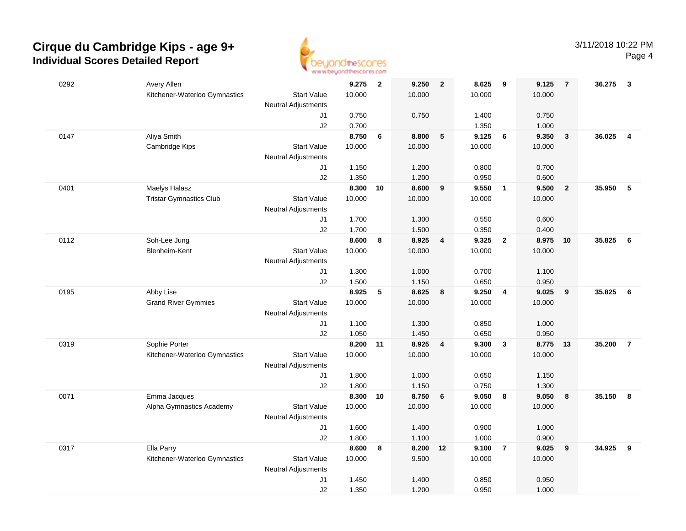

| 0292 | Avery Allen                    |                            | 9.275  | $\overline{\mathbf{2}}$ | 9.250  | $\overline{\mathbf{2}}$ | 8.625  | 9                       | 9.125  | $\overline{7}$          | 36.275 | $\mathbf{3}$   |
|------|--------------------------------|----------------------------|--------|-------------------------|--------|-------------------------|--------|-------------------------|--------|-------------------------|--------|----------------|
|      | Kitchener-Waterloo Gymnastics  | <b>Start Value</b>         | 10.000 |                         | 10.000 |                         | 10.000 |                         | 10.000 |                         |        |                |
|      |                                | Neutral Adjustments        |        |                         |        |                         |        |                         |        |                         |        |                |
|      |                                | J1                         | 0.750  |                         | 0.750  |                         | 1.400  |                         | 0.750  |                         |        |                |
|      |                                | J2                         | 0.700  |                         |        |                         | 1.350  |                         | 1.000  |                         |        |                |
| 0147 | Aliya Smith                    |                            | 8.750  | $\bf 6$                 | 8.800  | 5                       | 9.125  | 6                       | 9.350  | $\overline{\mathbf{3}}$ | 36.025 | $\overline{4}$ |
|      | Cambridge Kips                 | <b>Start Value</b>         | 10.000 |                         | 10.000 |                         | 10.000 |                         | 10.000 |                         |        |                |
|      |                                | Neutral Adjustments        |        |                         |        |                         |        |                         |        |                         |        |                |
|      |                                | J1                         | 1.150  |                         | 1.200  |                         | 0.800  |                         | 0.700  |                         |        |                |
|      |                                | J2                         | 1.350  |                         | 1.200  |                         | 0.950  |                         | 0.600  |                         |        |                |
| 0401 | Maelys Halasz                  |                            | 8.300  | 10                      | 8.600  | 9                       | 9.550  | $\overline{1}$          | 9.500  | $\overline{2}$          | 35.950 | $\sqrt{5}$     |
|      | <b>Tristar Gymnastics Club</b> | <b>Start Value</b>         | 10.000 |                         | 10.000 |                         | 10.000 |                         | 10.000 |                         |        |                |
|      |                                | <b>Neutral Adjustments</b> |        |                         |        |                         |        |                         |        |                         |        |                |
|      |                                | J1                         | 1.700  |                         | 1.300  |                         | 0.550  |                         | 0.600  |                         |        |                |
|      |                                | J2                         | 1.700  |                         | 1.500  |                         | 0.350  |                         | 0.400  |                         |        |                |
| 0112 | Soh-Lee Jung                   |                            | 8.600  | 8                       | 8.925  | $\overline{4}$          | 9.325  | $\overline{\mathbf{2}}$ | 8.975  | 10                      | 35.825 | 6              |
|      | Blenheim-Kent                  | <b>Start Value</b>         | 10.000 |                         | 10.000 |                         | 10.000 |                         | 10.000 |                         |        |                |
|      |                                | Neutral Adjustments        |        |                         |        |                         |        |                         |        |                         |        |                |
|      |                                | J1                         | 1.300  |                         | 1.000  |                         | 0.700  |                         | 1.100  |                         |        |                |
|      |                                | J2                         | 1.500  |                         | 1.150  |                         | 0.650  |                         | 0.950  |                         |        |                |
| 0195 | Abby Lise                      |                            | 8.925  | 5                       | 8.625  | 8                       | 9.250  | $\overline{4}$          | 9.025  | 9                       | 35.825 | 6              |
|      | <b>Grand River Gymmies</b>     | <b>Start Value</b>         | 10.000 |                         | 10.000 |                         | 10.000 |                         | 10.000 |                         |        |                |
|      |                                | <b>Neutral Adjustments</b> |        |                         |        |                         |        |                         |        |                         |        |                |
|      |                                | J1                         | 1.100  |                         | 1.300  |                         | 0.850  |                         | 1.000  |                         |        |                |
|      |                                | J2                         | 1.050  |                         | 1.450  |                         | 0.650  |                         | 0.950  |                         |        |                |
| 0319 | Sophie Porter                  |                            | 8.200  | $-11$                   | 8.925  | $\overline{\mathbf{4}}$ | 9.300  | $\mathbf{3}$            | 8.775  | 13                      | 35.200 | $\overline{7}$ |
|      | Kitchener-Waterloo Gymnastics  | <b>Start Value</b>         | 10.000 |                         | 10.000 |                         | 10.000 |                         | 10.000 |                         |        |                |
|      |                                | Neutral Adjustments        |        |                         |        |                         |        |                         |        |                         |        |                |
|      |                                | J1                         | 1.800  |                         | 1.000  |                         | 0.650  |                         | 1.150  |                         |        |                |
|      |                                | J2                         | 1.800  |                         | 1.150  |                         | 0.750  |                         | 1.300  |                         |        |                |
| 0071 | Emma Jacques                   |                            | 8.300  | 10                      | 8.750  | $6\phantom{1}6$         | 9.050  | 8                       | 9.050  | 8                       | 35.150 | 8              |
|      | Alpha Gymnastics Academy       | <b>Start Value</b>         | 10.000 |                         | 10.000 |                         | 10.000 |                         | 10.000 |                         |        |                |
|      |                                | Neutral Adjustments        |        |                         |        |                         |        |                         |        |                         |        |                |
|      |                                | J1                         | 1.600  |                         | 1.400  |                         | 0.900  |                         | 1.000  |                         |        |                |
|      |                                | J2                         | 1.800  |                         | 1.100  |                         | 1.000  |                         | 0.900  |                         |        |                |
| 0317 | Ella Parry                     |                            | 8.600  | 8                       | 8.200  | 12                      | 9.100  | $\overline{7}$          | 9.025  | 9                       | 34.925 | 9              |
|      | Kitchener-Waterloo Gymnastics  | <b>Start Value</b>         | 10.000 |                         | 9.500  |                         | 10.000 |                         | 10.000 |                         |        |                |
|      |                                | <b>Neutral Adjustments</b> |        |                         |        |                         |        |                         |        |                         |        |                |
|      |                                | J1                         | 1.450  |                         | 1.400  |                         | 0.850  |                         | 0.950  |                         |        |                |
|      |                                | J2                         | 1.350  |                         | 1.200  |                         | 0.950  |                         | 1.000  |                         |        |                |
|      |                                |                            |        |                         |        |                         |        |                         |        |                         |        |                |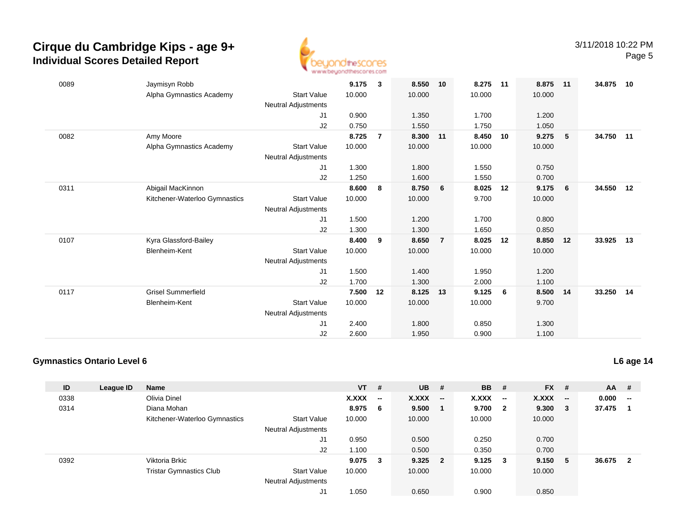

| 0089 | Jaymisyn Robb                 |                            | 9.175  | 3              | 8.550  | 10             | 8.275  | 11 | 8.875    | 11              | 34.875    | 10 |
|------|-------------------------------|----------------------------|--------|----------------|--------|----------------|--------|----|----------|-----------------|-----------|----|
|      | Alpha Gymnastics Academy      | <b>Start Value</b>         | 10.000 |                | 10.000 |                | 10.000 |    | 10.000   |                 |           |    |
|      |                               | <b>Neutral Adjustments</b> |        |                |        |                |        |    |          |                 |           |    |
|      |                               | J <sub>1</sub>             | 0.900  |                | 1.350  |                | 1.700  |    | 1.200    |                 |           |    |
|      |                               | J2                         | 0.750  |                | 1.550  |                | 1.750  |    | 1.050    |                 |           |    |
| 0082 | Amy Moore                     |                            | 8.725  | $\overline{7}$ | 8.300  | 11             | 8.450  | 10 | 9.275    | 5               | 34.750    | 11 |
|      | Alpha Gymnastics Academy      | <b>Start Value</b>         | 10.000 |                | 10.000 |                | 10.000 |    | 10.000   |                 |           |    |
|      |                               | <b>Neutral Adjustments</b> |        |                |        |                |        |    |          |                 |           |    |
|      |                               | J1                         | 1.300  |                | 1.800  |                | 1.550  |    | 0.750    |                 |           |    |
|      |                               | J2                         | 1.250  |                | 1.600  |                | 1.550  |    | 0.700    |                 |           |    |
| 0311 | Abigail MacKinnon             |                            | 8.600  | 8              | 8.750  | 6              | 8.025  | 12 | 9.175    | $6\overline{6}$ | 34.550    | 12 |
|      | Kitchener-Waterloo Gymnastics | <b>Start Value</b>         | 10.000 |                | 10.000 |                | 9.700  |    | 10.000   |                 |           |    |
|      |                               | Neutral Adjustments        |        |                |        |                |        |    |          |                 |           |    |
|      |                               | J1                         | 1.500  |                | 1.200  |                | 1.700  |    | 0.800    |                 |           |    |
|      |                               | J2                         | 1.300  |                | 1.300  |                | 1.650  |    | 0.850    |                 |           |    |
| 0107 | Kyra Glassford-Bailey         |                            | 8.400  | 9              | 8.650  | $\overline{7}$ | 8.025  | 12 | 8.850    | 12              | 33.925    | 13 |
|      | <b>Blenheim-Kent</b>          | <b>Start Value</b>         | 10.000 |                | 10.000 |                | 10.000 |    | 10.000   |                 |           |    |
|      |                               | <b>Neutral Adjustments</b> |        |                |        |                |        |    |          |                 |           |    |
|      |                               | J1                         | 1.500  |                | 1.400  |                | 1.950  |    | 1.200    |                 |           |    |
|      |                               | J2                         | 1.700  |                | 1.300  |                | 2.000  |    | 1.100    |                 |           |    |
| 0117 | <b>Grisel Summerfield</b>     |                            | 7.500  | 12             | 8.125  | 13             | 9.125  | 6  | 8.500 14 |                 | 33.250 14 |    |
|      | Blenheim-Kent                 | <b>Start Value</b>         | 10.000 |                | 10.000 |                | 10.000 |    | 9.700    |                 |           |    |
|      |                               | <b>Neutral Adjustments</b> |        |                |        |                |        |    |          |                 |           |    |
|      |                               | J1                         | 2.400  |                | 1.800  |                | 0.850  |    | 1.300    |                 |           |    |
|      |                               | J2                         | 2.600  |                | 1.950  |                | 0.900  |    | 1.100    |                 |           |    |

### **Gymnastics Ontario Level 6**

| ID   | League ID | <b>Name</b>                    |                            | $VT$ #  |    | $UB$ #       |                          | <b>BB</b> | - #                     | <b>FX</b> | #                        | <b>AA</b> | #      |
|------|-----------|--------------------------------|----------------------------|---------|----|--------------|--------------------------|-----------|-------------------------|-----------|--------------------------|-----------|--------|
| 0338 |           | Olivia Dinel                   |                            | X.XXX   | −− | <b>X.XXX</b> | $\overline{\phantom{a}}$ | X.XXX     | $\sim$                  | X.XXX     | $\overline{\phantom{a}}$ | 0.000     | $\sim$ |
| 0314 |           | Diana Mohan                    |                            | 8.975 6 |    | 9.500        |                          | 9.700     | $\overline{\mathbf{2}}$ | 9.300     | - 3                      | 37.475    |        |
|      |           | Kitchener-Waterloo Gymnastics  | <b>Start Value</b>         | 10.000  |    | 10.000       |                          | 10.000    |                         | 10.000    |                          |           |        |
|      |           |                                | Neutral Adjustments        |         |    |              |                          |           |                         |           |                          |           |        |
|      |           |                                | J1                         | 0.950   |    | 0.500        |                          | 0.250     |                         | 0.700     |                          |           |        |
|      |           |                                | J2                         | 1.100   |    | 0.500        |                          | 0.350     |                         | 0.700     |                          |           |        |
| 0392 |           | Viktoria Brkic                 |                            | 9.075   | 3  | 9.325        | $\overline{\mathbf{2}}$  | 9.125     | - 3                     | 9.150     | -5                       | 36.675    | -2     |
|      |           | <b>Tristar Gymnastics Club</b> | <b>Start Value</b>         | 10.000  |    | 10.000       |                          | 10.000    |                         | 10.000    |                          |           |        |
|      |           |                                | <b>Neutral Adjustments</b> |         |    |              |                          |           |                         |           |                          |           |        |
|      |           |                                | J1                         | 1.050   |    | 0.650        |                          | 0.900     |                         | 0.850     |                          |           |        |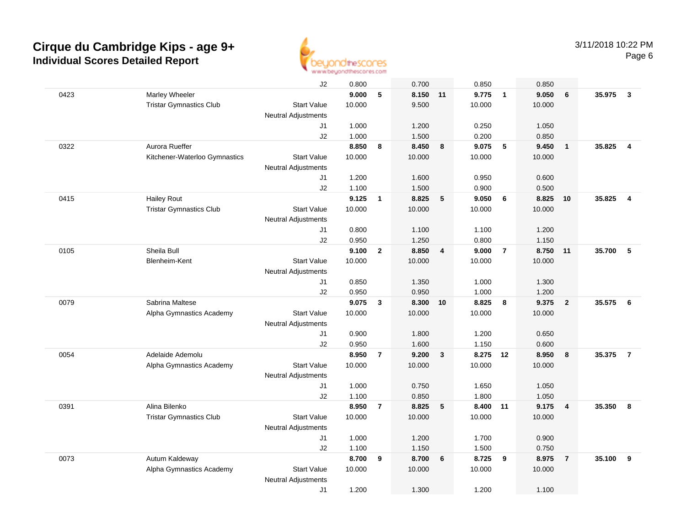

|      |                                | J2                         | 0.800  |                | 0.700  |                | 0.850    |                | 0.850  |                |        |                         |
|------|--------------------------------|----------------------------|--------|----------------|--------|----------------|----------|----------------|--------|----------------|--------|-------------------------|
| 0423 | Marley Wheeler                 |                            | 9.000  | 5              | 8.150  | 11             | 9.775    | $\overline{1}$ | 9.050  | 6              | 35.975 | $\mathbf{3}$            |
|      | <b>Tristar Gymnastics Club</b> | <b>Start Value</b>         | 10.000 |                | 9.500  |                | 10.000   |                | 10.000 |                |        |                         |
|      |                                | Neutral Adjustments        |        |                |        |                |          |                |        |                |        |                         |
|      |                                | J1                         | 1.000  |                | 1.200  |                | 0.250    |                | 1.050  |                |        |                         |
|      |                                | J2                         | 1.000  |                | 1.500  |                | 0.200    |                | 0.850  |                |        |                         |
| 0322 | Aurora Rueffer                 |                            | 8.850  | 8              | 8.450  | 8              | 9.075    | 5              | 9.450  | $\mathbf{1}$   | 35.825 | $\overline{\mathbf{4}}$ |
|      | Kitchener-Waterloo Gymnastics  | <b>Start Value</b>         | 10.000 |                | 10.000 |                | 10.000   |                | 10.000 |                |        |                         |
|      |                                | <b>Neutral Adjustments</b> |        |                |        |                |          |                |        |                |        |                         |
|      |                                | J1                         | 1.200  |                | 1.600  |                | 0.950    |                | 0.600  |                |        |                         |
|      |                                | J2                         | 1.100  |                | 1.500  |                | 0.900    |                | 0.500  |                |        |                         |
| 0415 | <b>Hailey Rout</b>             |                            | 9.125  | $\mathbf{1}$   | 8.825  | 5              | 9.050    | 6              | 8.825  | 10             | 35.825 | $\overline{4}$          |
|      | <b>Tristar Gymnastics Club</b> | <b>Start Value</b>         | 10.000 |                | 10.000 |                | 10.000   |                | 10.000 |                |        |                         |
|      |                                | Neutral Adjustments        |        |                |        |                |          |                |        |                |        |                         |
|      |                                | J1                         | 0.800  |                | 1.100  |                | 1.100    |                | 1.200  |                |        |                         |
|      |                                | J2                         | 0.950  |                | 1.250  |                | 0.800    |                | 1.150  |                |        |                         |
| 0105 | Sheila Bull                    |                            | 9.100  | $\overline{2}$ | 8.850  | $\overline{4}$ | 9.000    | $\overline{7}$ | 8.750  | 11             | 35.700 | 5                       |
|      | Blenheim-Kent                  | <b>Start Value</b>         | 10.000 |                | 10.000 |                | 10.000   |                | 10.000 |                |        |                         |
|      |                                | <b>Neutral Adjustments</b> |        |                |        |                |          |                |        |                |        |                         |
|      |                                | J1                         | 0.850  |                | 1.350  |                | 1.000    |                | 1.300  |                |        |                         |
|      |                                | J2                         | 0.950  |                | 0.950  |                | 1.000    |                | 1.200  |                |        |                         |
| 0079 | Sabrina Maltese                |                            | 9.075  | 3              | 8.300  | 10             | 8.825    | 8              | 9.375  | $\overline{2}$ | 35.575 | 6                       |
|      | Alpha Gymnastics Academy       | <b>Start Value</b>         | 10.000 |                | 10.000 |                | 10.000   |                | 10.000 |                |        |                         |
|      |                                | <b>Neutral Adjustments</b> |        |                |        |                |          |                |        |                |        |                         |
|      |                                | J1                         | 0.900  |                | 1.800  |                | 1.200    |                | 0.650  |                |        |                         |
|      |                                | J2                         | 0.950  |                | 1.600  |                | 1.150    |                | 0.600  |                |        |                         |
| 0054 | Adelaide Ademolu               |                            | 8.950  | $\overline{7}$ | 9.200  | $\mathbf{3}$   | 8.275 12 |                | 8.950  | 8              | 35.375 | $\overline{7}$          |
|      | Alpha Gymnastics Academy       | <b>Start Value</b>         | 10.000 |                | 10.000 |                | 10.000   |                | 10.000 |                |        |                         |
|      |                                | Neutral Adjustments        |        |                |        |                |          |                |        |                |        |                         |
|      |                                | J1                         | 1.000  |                | 0.750  |                | 1.650    |                | 1.050  |                |        |                         |
|      |                                | J2                         | 1.100  |                | 0.850  |                | 1.800    |                | 1.050  |                |        |                         |
| 0391 | Alina Bilenko                  |                            | 8.950  | $\overline{7}$ | 8.825  | 5              | 8.400 11 |                | 9.175  | $\overline{4}$ | 35.350 | 8                       |
|      | <b>Tristar Gymnastics Club</b> | <b>Start Value</b>         | 10.000 |                | 10.000 |                | 10.000   |                | 10.000 |                |        |                         |
|      |                                | <b>Neutral Adjustments</b> |        |                |        |                |          |                |        |                |        |                         |
|      |                                | J1                         | 1.000  |                | 1.200  |                | 1.700    |                | 0.900  |                |        |                         |
|      |                                | J2                         | 1.100  |                | 1.150  |                | 1.500    |                | 0.750  |                |        |                         |
| 0073 | Autum Kaldeway                 |                            | 8.700  | 9              | 8.700  | 6              | 8.725    | 9              | 8.975  | $\overline{7}$ | 35.100 | 9                       |
|      | Alpha Gymnastics Academy       | <b>Start Value</b>         | 10.000 |                | 10.000 |                | 10.000   |                | 10.000 |                |        |                         |
|      |                                | Neutral Adjustments        |        |                |        |                |          |                |        |                |        |                         |
|      |                                | J1                         | 1.200  |                | 1.300  |                | 1.200    |                | 1.100  |                |        |                         |
|      |                                |                            |        |                |        |                |          |                |        |                |        |                         |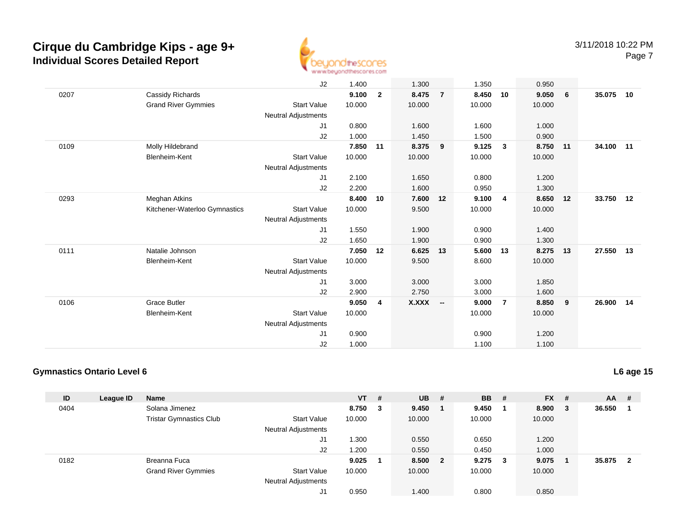

|      |                               | J2                         | 1.400  |                | 1.300    |                | 1.350  |                | 0.950  |                         |           |    |
|------|-------------------------------|----------------------------|--------|----------------|----------|----------------|--------|----------------|--------|-------------------------|-----------|----|
| 0207 | Cassidy Richards              |                            | 9.100  | $\overline{2}$ | 8.475    | $\overline{7}$ | 8.450  | 10             | 9.050  | 6                       | 35.075    | 10 |
|      | <b>Grand River Gymmies</b>    | <b>Start Value</b>         | 10.000 |                | 10.000   |                | 10.000 |                | 10.000 |                         |           |    |
|      |                               | Neutral Adjustments        |        |                |          |                |        |                |        |                         |           |    |
|      |                               | J1                         | 0.800  |                | 1.600    |                | 1.600  |                | 1.000  |                         |           |    |
|      |                               | J2                         | 1.000  |                | 1.450    |                | 1.500  |                | 0.900  |                         |           |    |
| 0109 | Molly Hildebrand              |                            | 7.850  | 11             | 8.375    | 9              | 9.125  | $\mathbf{3}$   | 8.750  | 11                      | 34.100 11 |    |
|      | Blenheim-Kent                 | <b>Start Value</b>         | 10.000 |                | 10.000   |                | 10.000 |                | 10.000 |                         |           |    |
|      |                               | <b>Neutral Adjustments</b> |        |                |          |                |        |                |        |                         |           |    |
|      |                               | J1                         | 2.100  |                | 1.650    |                | 0.800  |                | 1.200  |                         |           |    |
|      |                               | J2                         | 2.200  |                | 1.600    |                | 0.950  |                | 1.300  |                         |           |    |
| 0293 | <b>Meghan Atkins</b>          |                            | 8.400  | 10             | 7.600    | 12             | 9.100  | $\overline{4}$ | 8.650  | 12                      | 33.750 12 |    |
|      | Kitchener-Waterloo Gymnastics | <b>Start Value</b>         | 10.000 |                | 9.500    |                | 10.000 |                | 10.000 |                         |           |    |
|      |                               | Neutral Adjustments        |        |                |          |                |        |                |        |                         |           |    |
|      |                               | J <sub>1</sub>             | 1.550  |                | 1.900    |                | 0.900  |                | 1.400  |                         |           |    |
|      |                               | J2                         | 1.650  |                | 1.900    |                | 0.900  |                | 1.300  |                         |           |    |
| 0111 | Natalie Johnson               |                            | 7.050  | 12             | 6.625    | 13             | 5.600  | 13             | 8.275  | 13                      | 27.550    | 13 |
|      | Blenheim-Kent                 | <b>Start Value</b>         | 10.000 |                | 9.500    |                | 8.600  |                | 10.000 |                         |           |    |
|      |                               | Neutral Adjustments        |        |                |          |                |        |                |        |                         |           |    |
|      |                               | J1                         | 3.000  |                | 3.000    |                | 3.000  |                | 1.850  |                         |           |    |
|      |                               | J2                         | 2.900  |                | 2.750    |                | 3.000  |                | 1.600  |                         |           |    |
| 0106 | <b>Grace Butler</b>           |                            | 9.050  | 4              | X.XXX -- |                | 9.000  | $\overline{7}$ | 8.850  | $\overline{\mathbf{9}}$ | 26.900    | 14 |
|      | Blenheim-Kent                 | <b>Start Value</b>         | 10.000 |                |          |                | 10.000 |                | 10.000 |                         |           |    |
|      |                               | <b>Neutral Adjustments</b> |        |                |          |                |        |                |        |                         |           |    |
|      |                               | J1                         | 0.900  |                |          |                | 0.900  |                | 1.200  |                         |           |    |
|      |                               | J2                         | 1.000  |                |          |                | 1.100  |                | 1.100  |                         |           |    |

### **Gymnastics Ontario Level 6**

| ID   | League ID | <b>Name</b>                    |                            | $VT$ # |   | $UB$ #  | <b>BB</b> | - # | <b>FX</b> | - # | <b>AA</b> | #  |
|------|-----------|--------------------------------|----------------------------|--------|---|---------|-----------|-----|-----------|-----|-----------|----|
| 0404 |           | Solana Jimenez                 |                            | 8.750  | 3 | 9.450   | 9.450     |     | 8.900     | - 3 | 36.550    |    |
|      |           | <b>Tristar Gymnastics Club</b> | <b>Start Value</b>         | 10.000 |   | 10.000  | 10.000    |     | 10.000    |     |           |    |
|      |           |                                | Neutral Adjustments        |        |   |         |           |     |           |     |           |    |
|      |           |                                | J1                         | 0.300  |   | 0.550   | 0.650     |     | 1.200     |     |           |    |
|      |           |                                | J <sub>2</sub>             | 1.200  |   | 0.550   | 0.450     |     | 1.000     |     |           |    |
| 0182 |           | Breanna Fuca                   |                            | 9.025  |   | 8.500 2 | 9.275     | 3   | 9.075     |     | 35.875    | -2 |
|      |           | <b>Grand River Gymmies</b>     | <b>Start Value</b>         | 10.000 |   | 10.000  | 10.000    |     | 10.000    |     |           |    |
|      |           |                                | <b>Neutral Adjustments</b> |        |   |         |           |     |           |     |           |    |
|      |           |                                | J1                         | 0.950  |   | 1.400   | 0.800     |     | 0.850     |     |           |    |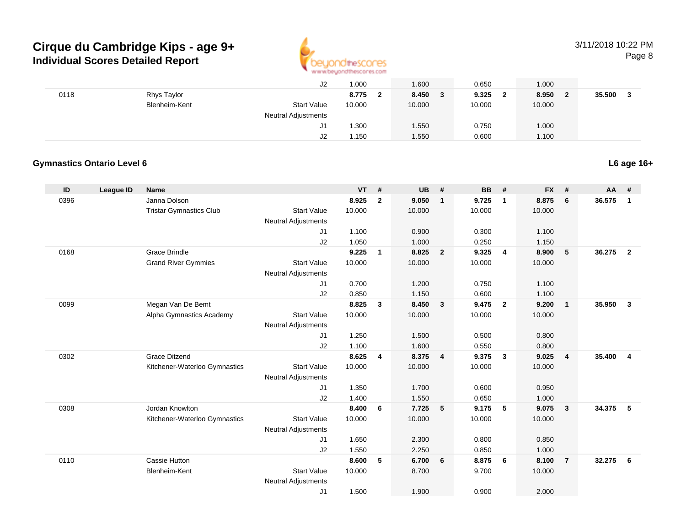

|      |               | J2                         | 1.000       | 1.600      | 0.650      | 1.000  |        |
|------|---------------|----------------------------|-------------|------------|------------|--------|--------|
| 0118 | Rhys Taylor   |                            | 8.775<br>-2 | 8.450<br>3 | 9.325<br>າ | 8.950  | 35.500 |
|      | Blenheim-Kent | <b>Start Value</b>         | 10.000      | 10.000     | 10.000     | 10.000 |        |
|      |               | <b>Neutral Adjustments</b> |             |            |            |        |        |
|      |               | J1                         | 1.300       | 1.550      | 0.750      | 1.000  |        |
|      |               | J2                         | 1.150       | 1.550      | 0.600      | 1.100  |        |

### **Gymnastics Ontario Level 6**

| ID   | League ID | Name                                                  |                            | <b>VT</b>      | #                       | <b>UB</b>       | #              | <b>BB</b>      | #                       | <b>FX</b>       | #                       | AA     | #              |
|------|-----------|-------------------------------------------------------|----------------------------|----------------|-------------------------|-----------------|----------------|----------------|-------------------------|-----------------|-------------------------|--------|----------------|
| 0396 |           | Janna Dolson                                          |                            | 8.925          | $\overline{2}$          | 9.050           | $\mathbf{1}$   | 9.725          | $\overline{1}$          | 8.875           | 6                       | 36.575 | $\mathbf{1}$   |
|      |           | <b>Tristar Gymnastics Club</b>                        | <b>Start Value</b>         | 10.000         |                         | 10.000          |                | 10.000         |                         | 10.000          |                         |        |                |
|      |           |                                                       | <b>Neutral Adjustments</b> |                |                         |                 |                |                |                         |                 |                         |        |                |
|      |           |                                                       | J1                         | 1.100          |                         | 0.900           |                | 0.300          |                         | 1.100           |                         |        |                |
|      |           |                                                       | J2                         | 1.050          |                         | 1.000           |                | 0.250          |                         | 1.150           |                         |        |                |
| 0168 |           | <b>Grace Brindle</b>                                  |                            | 9.225          | 1                       | 8.825           | $\overline{2}$ | 9.325          | $\overline{4}$          | 8.900           | 5                       | 36.275 | $\overline{2}$ |
|      |           | <b>Grand River Gymmies</b>                            | <b>Start Value</b>         | 10.000         |                         | 10.000          |                | 10.000         |                         | 10.000          |                         |        |                |
|      |           |                                                       | <b>Neutral Adjustments</b> |                |                         |                 |                |                |                         |                 |                         |        |                |
|      |           |                                                       | J1                         | 0.700          |                         | 1.200           |                | 0.750          |                         | 1.100           |                         |        |                |
|      |           |                                                       | J2                         | 0.850          |                         | 1.150           |                | 0.600          |                         | 1.100           |                         |        |                |
| 0099 |           | Megan Van De Bemt                                     |                            | 8.825          | 3                       | 8.450           | $\mathbf{3}$   | 9.475          | $\overline{2}$          | 9.200           | $\overline{1}$          | 35.950 | $\mathbf{3}$   |
|      |           | Alpha Gymnastics Academy                              | <b>Start Value</b>         | 10.000         |                         | 10.000          |                | 10.000         |                         | 10.000          |                         |        |                |
|      |           |                                                       | <b>Neutral Adjustments</b> |                |                         |                 |                |                |                         |                 |                         |        |                |
|      |           |                                                       | J1                         | 1.250          |                         | 1.500           |                | 0.500          |                         | 0.800           |                         |        |                |
|      |           |                                                       | J2                         | 1.100<br>8.625 |                         | 1.600           |                | 0.550<br>9.375 |                         | 0.800           |                         |        |                |
| 0302 |           | <b>Grace Ditzend</b><br>Kitchener-Waterloo Gymnastics | <b>Start Value</b>         | 10.000         | $\overline{\mathbf{4}}$ | 8.375<br>10.000 | $\overline{4}$ | 10.000         | $\overline{\mathbf{3}}$ | 9.025<br>10.000 | $\overline{4}$          | 35.400 | $\overline{4}$ |
|      |           |                                                       | <b>Neutral Adjustments</b> |                |                         |                 |                |                |                         |                 |                         |        |                |
|      |           |                                                       | J1                         | 1.350          |                         | 1.700           |                | 0.600          |                         | 0.950           |                         |        |                |
|      |           |                                                       | J2                         | 1.400          |                         | 1.550           |                | 0.650          |                         | 1.000           |                         |        |                |
| 0308 |           | Jordan Knowlton                                       |                            | 8.400          | 6                       | 7.725           | 5              | 9.175          | 5                       | 9.075           | $\overline{\mathbf{3}}$ | 34.375 | - 5            |
|      |           | Kitchener-Waterloo Gymnastics                         | <b>Start Value</b>         | 10.000         |                         | 10.000          |                | 10.000         |                         | 10.000          |                         |        |                |
|      |           |                                                       | <b>Neutral Adjustments</b> |                |                         |                 |                |                |                         |                 |                         |        |                |
|      |           |                                                       | J1                         | 1.650          |                         | 2.300           |                | 0.800          |                         | 0.850           |                         |        |                |
|      |           |                                                       | J2                         | 1.550          |                         | 2.250           |                | 0.850          |                         | 1.000           |                         |        |                |
| 0110 |           | Cassie Hutton                                         |                            | 8.600          | 5                       | 6.700           | 6              | 8.875          | 6                       | 8.100           | $\overline{7}$          | 32.275 | 6              |
|      |           | Blenheim-Kent                                         | <b>Start Value</b>         | 10.000         |                         | 8.700           |                | 9.700          |                         | 10.000          |                         |        |                |
|      |           |                                                       | <b>Neutral Adjustments</b> |                |                         |                 |                |                |                         |                 |                         |        |                |
|      |           |                                                       | J <sub>1</sub>             | 1.500          |                         | 1.900           |                | 0.900          |                         | 2.000           |                         |        |                |
|      |           |                                                       |                            |                |                         |                 |                |                |                         |                 |                         |        |                |

**L6 age 16+**